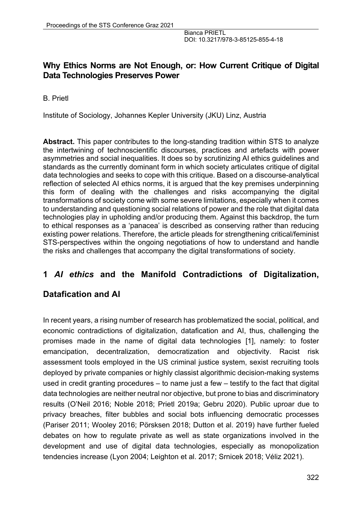# **Why Ethics Norms are Not Enough, or: How Current Critique of Digital Data Technologies Preserves Power**

B. Prietl

Institute of Sociology, Johannes Kepler University (JKU) Linz, Austria

**Abstract.** This paper contributes to the long-standing tradition within STS to analyze the intertwining of technoscientific discourses, practices and artefacts with power asymmetries and social inequalities. It does so by scrutinizing AI ethics guidelines and standards as the currently dominant form in which society articulates critique of digital data technologies and seeks to cope with this critique. Based on a discourse-analytical reflection of selected AI ethics norms, it is argued that the key premises underpinning this form of dealing with the challenges and risks accompanying the digital transformations of society come with some severe limitations, especially when it comes to understanding and questioning social relations of power and the role that digital data technologies play in upholding and/or producing them. Against this backdrop, the turn to ethical responses as a 'panacea' is described as conserving rather than reducing existing power relations. Therefore, the article pleads for strengthening critical/feminist STS-perspectives within the ongoing negotiations of how to understand and handle the risks and challenges that accompany the digital transformations of society.

### **1** *AI ethics* **and the Manifold Contradictions of Digitalization,**

### **Datafication and AI**

In recent years, a rising number of research has problematized the social, political, and economic contradictions of digitalization, datafication and AI, thus, challenging the promises made in the name of digital data technologies [1], namely: to foster emancipation, decentralization, democratization and objectivity. Racist risk assessment tools employed in the US criminal justice system, sexist recruiting tools deployed by private companies or highly classist algorithmic decision-making systems used in credit granting procedures – to name just a few – testify to the fact that digital data technologies are neither neutral nor objective, but prone to bias and discriminatory results (O'Neil 2016; Noble 2018; Prietl 2019a; Gebru 2020). Public uproar due to privacy breaches, filter bubbles and social bots influencing democratic processes (Pariser 2011; Wooley 2016; Pörsksen 2018; Dutton et al. 2019) have further fueled debates on how to regulate private as well as state organizations involved in the development and use of digital data technologies, especially as monopolization tendencies increase (Lyon 2004; Leighton et al. 2017; Srnicek 2018; Véliz 2021).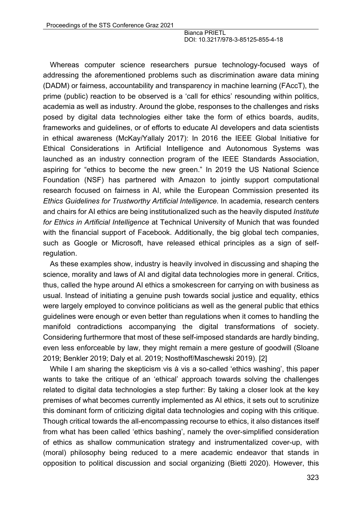Whereas computer science researchers pursue technology-focused ways of addressing the aforementioned problems such as discrimination aware data mining (DADM) or fairness, accountability and transparency in machine learning (FAccT), the prime (public) reaction to be observed is a 'call for ethics' resounding within politics, academia as well as industry. Around the globe, responses to the challenges and risks posed by digital data technologies either take the form of ethics boards, audits, frameworks and guidelines, or of efforts to educate AI developers and data scientists in ethical awareness (McKay/Yallaly 2017): In 2016 the IEEE Global Initiative for Ethical Considerations in Artificial Intelligence and Autonomous Systems was launched as an industry connection program of the IEEE Standards Association, aspiring for "ethics to become the new green." In 2019 the US National Science Foundation (NSF) has partnered with Amazon to jointly support computational research focused on fairness in AI, while the European Commission presented its *Ethics Guidelines for Trustworthy Artificial Intelligence.* In academia, research centers and chairs for AI ethics are being institutionalized such as the heavily disputed *Institute for Ethics in Artificial Intelligence* at Technical University of Munich that was founded with the financial support of Facebook. Additionally, the big global tech companies, such as Google or Microsoft, have released ethical principles as a sign of selfregulation.

As these examples show, industry is heavily involved in discussing and shaping the science, morality and laws of AI and digital data technologies more in general. Critics, thus, called the hype around AI ethics a smokescreen for carrying on with business as usual. Instead of initiating a genuine push towards social justice and equality, ethics were largely employed to convince politicians as well as the general public that ethics guidelines were enough or even better than regulations when it comes to handling the manifold contradictions accompanying the digital transformations of society. Considering furthermore that most of these self-imposed standards are hardly binding, even less enforceable by law, they might remain a mere gesture of goodwill (Sloane 2019; Benkler 2019; Daly et al. 2019; Nosthoff/Maschewski 2019). [2]

While I am sharing the skepticism vis à vis a so-called 'ethics washing', this paper wants to take the critique of an 'ethical' approach towards solving the challenges related to digital data technologies a step further: By taking a closer look at the key premises of what becomes currently implemented as AI ethics, it sets out to scrutinize this dominant form of criticizing digital data technologies and coping with this critique. Though critical towards the all-encompassing recourse to ethics, it also distances itself from what has been called 'ethics bashing', namely the over-simplified consideration of ethics as shallow communication strategy and instrumentalized cover-up, with (moral) philosophy being reduced to a mere academic endeavor that stands in opposition to political discussion and social organizing (Bietti 2020). However, this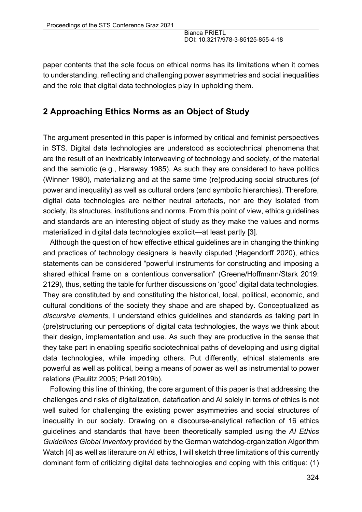paper contents that the sole focus on ethical norms has its limitations when it comes to understanding, reflecting and challenging power asymmetries and social inequalities and the role that digital data technologies play in upholding them.

### **2 Approaching Ethics Norms as an Object of Study**

The argument presented in this paper is informed by critical and feminist perspectives in STS. Digital data technologies are understood as sociotechnical phenomena that are the result of an inextricably interweaving of technology and society, of the material and the semiotic (e.g., Haraway 1985). As such they are considered to have politics (Winner 1980), materializing and at the same time (re)producing social structures (of power and inequality) as well as cultural orders (and symbolic hierarchies). Therefore, digital data technologies are neither neutral artefacts, nor are they isolated from society, its structures, institutions and norms. From this point of view, ethics guidelines and standards are an interesting object of study as they make the values and norms materialized in digital data technologies explicit—at least partly [3].

Although the question of how effective ethical guidelines are in changing the thinking and practices of technology designers is heavily disputed (Hagendorff 2020), ethics statements can be considered "powerful instruments for constructing and imposing a shared ethical frame on a contentious conversation" (Greene/Hoffmann/Stark 2019: 2129), thus, setting the table for further discussions on 'good' digital data technologies. They are constituted by and constituting the historical, local, political, economic, and cultural conditions of the society they shape and are shaped by. Conceptualized as *discursive elements*, I understand ethics guidelines and standards as taking part in (pre)structuring our perceptions of digital data technologies, the ways we think about their design, implementation and use. As such they are productive in the sense that they take part in enabling specific sociotechnical paths of developing and using digital data technologies, while impeding others. Put differently, ethical statements are powerful as well as political, being a means of power as well as instrumental to power relations (Paulitz 2005; Prietl 2019b).

Following this line of thinking, the core argument of this paper is that addressing the challenges and risks of digitalization, datafication and AI solely in terms of ethics is not well suited for challenging the existing power asymmetries and social structures of inequality in our society. Drawing on a discourse-analytical reflection of 16 ethics guidelines and standards that have been theoretically sampled using the *AI Ethics Guidelines Global Inventory* provided by the German watchdog-organization Algorithm Watch [4] as well as literature on AI ethics, I will sketch three limitations of this currently dominant form of criticizing digital data technologies and coping with this critique: (1)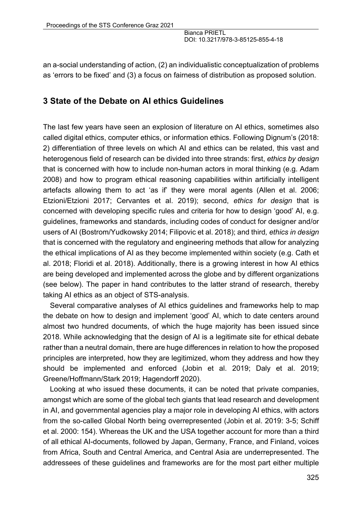an a-social understanding of action, (2) an individualistic conceptualization of problems as 'errors to be fixed' and (3) a focus on fairness of distribution as proposed solution.

### **3 State of the Debate on AI ethics Guidelines**

The last few years have seen an explosion of literature on AI ethics, sometimes also called digital ethics, computer ethics, or information ethics. Following Dignum's (2018: 2) differentiation of three levels on which AI and ethics can be related, this vast and heterogenous field of research can be divided into three strands: first, *ethics by design* that is concerned with how to include non-human actors in moral thinking (e.g. Adam 2008) and how to program ethical reasoning capabilities within artificially intelligent artefacts allowing them to act 'as if' they were moral agents (Allen et al. 2006; Etzioni/Etzioni 2017; Cervantes et al. 2019); second, *ethics for design* that is concerned with developing specific rules and criteria for how to design 'good' AI, e.g. guidelines, frameworks and standards, including codes of conduct for designer and/or users of AI (Bostrom/Yudkowsky 2014; Filipovic et al. 2018); and third*, ethics in design* that is concerned with the regulatory and engineering methods that allow for analyzing the ethical implications of AI as they become implemented within society (e.g. Cath et al. 2018; Floridi et al. 2018). Additionally, there is a growing interest in how AI ethics are being developed and implemented across the globe and by different organizations (see below). The paper in hand contributes to the latter strand of research, thereby taking AI ethics as an object of STS-analysis.

Several comparative analyses of AI ethics guidelines and frameworks help to map the debate on how to design and implement 'good' AI, which to date centers around almost two hundred documents, of which the huge majority has been issued since 2018. While acknowledging that the design of AI is a legitimate site for ethical debate rather than a neutral domain, there are huge differences in relation to how the proposed principles are interpreted, how they are legitimized, whom they address and how they should be implemented and enforced (Jobin et al. 2019; Daly et al. 2019; Greene/Hoffmann/Stark 2019; Hagendorff 2020).

Looking at who issued these documents, it can be noted that private companies, amongst which are some of the global tech giants that lead research and development in AI, and governmental agencies play a major role in developing AI ethics, with actors from the so-called Global North being overrepresented (Jobin et al. 2019: 3-5; Schiff et al. 2000: 154). Whereas the UK and the USA together account for more than a third of all ethical AI-documents, followed by Japan, Germany, France, and Finland, voices from Africa, South and Central America, and Central Asia are underrepresented. The addressees of these guidelines and frameworks are for the most part either multiple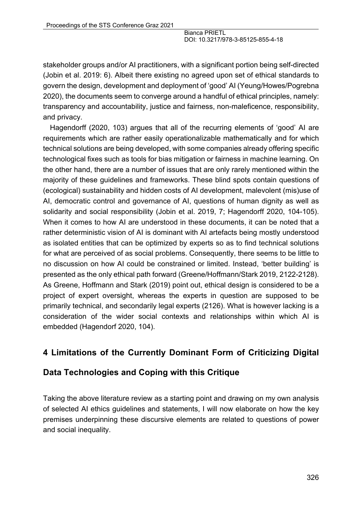stakeholder groups and/or AI practitioners, with a significant portion being self-directed (Jobin et al. 2019: 6). Albeit there existing no agreed upon set of ethical standards to govern the design, development and deployment of 'good' AI (Yeung/Howes/Pogrebna 2020), the documents seem to converge around a handful of ethical principles, namely: transparency and accountability, justice and fairness, non-maleficence, responsibility, and privacy.

Hagendorff (2020, 103) argues that all of the recurring elements of 'good' AI are requirements which are rather easily operationalizable mathematically and for which technical solutions are being developed, with some companies already offering specific technological fixes such as tools for bias mitigation or fairness in machine learning. On the other hand, there are a number of issues that are only rarely mentioned within the majority of these guidelines and frameworks. These blind spots contain questions of (ecological) sustainability and hidden costs of AI development, malevolent (mis)use of AI, democratic control and governance of AI, questions of human dignity as well as solidarity and social responsibility (Jobin et al. 2019, 7; Hagendorff 2020, 104-105). When it comes to how AI are understood in these documents, it can be noted that a rather deterministic vision of AI is dominant with AI artefacts being mostly understood as isolated entities that can be optimized by experts so as to find technical solutions for what are perceived of as social problems. Consequently, there seems to be little to no discussion on how AI could be constrained or limited. Instead, 'better building' is presented as the only ethical path forward (Greene/Hoffmann/Stark 2019, 2122-2128). As Greene, Hoffmann and Stark (2019) point out, ethical design is considered to be a project of expert oversight, whereas the experts in question are supposed to be primarily technical, and secondarily legal experts (2126). What is however lacking is a consideration of the wider social contexts and relationships within which AI is embedded (Hagendorf 2020, 104).

# **4 Limitations of the Currently Dominant Form of Criticizing Digital**

# **Data Technologies and Coping with this Critique**

Taking the above literature review as a starting point and drawing on my own analysis of selected AI ethics guidelines and statements, I will now elaborate on how the key premises underpinning these discursive elements are related to questions of power and social inequality.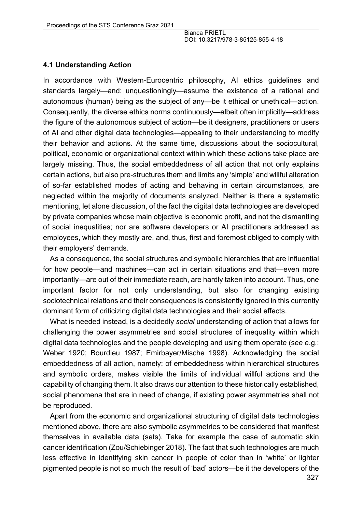#### **4.1 Understanding Action**

In accordance with Western-Eurocentric philosophy, AI ethics guidelines and standards largely—and: unquestioningly—assume the existence of a rational and autonomous (human) being as the subject of any—be it ethical or unethical—action. Consequently, the diverse ethics norms continuously—albeit often implicitly—address the figure of the autonomous subject of action—be it designers, practitioners or users of AI and other digital data technologies—appealing to their understanding to modify their behavior and actions. At the same time, discussions about the sociocultural, political, economic or organizational context within which these actions take place are largely missing. Thus, the social embeddedness of all action that not only explains certain actions, but also pre-structures them and limits any 'simple' and willful alteration of so-far established modes of acting and behaving in certain circumstances, are neglected within the majority of documents analyzed. Neither is there a systematic mentioning, let alone discussion, of the fact the digital data technologies are developed by private companies whose main objective is economic profit, and not the dismantling of social inequalities; nor are software developers or AI practitioners addressed as employees, which they mostly are, and, thus, first and foremost obliged to comply with their employers' demands.

As a consequence, the social structures and symbolic hierarchies that are influential for how people—and machines—can act in certain situations and that—even more importantly—are out of their immediate reach, are hardly taken into account. Thus, one important factor for not only understanding, but also for changing existing sociotechnical relations and their consequences is consistently ignored in this currently dominant form of criticizing digital data technologies and their social effects.

What is needed instead, is a decidedly *social* understanding of action that allows for challenging the power asymmetries and social structures of inequality within which digital data technologies and the people developing and using them operate (see e.g.: Weber 1920; Bourdieu 1987; Emirbayer/Mische 1998). Acknowledging the social embeddedness of all action, namely: of embeddedness within hierarchical structures and symbolic orders, makes visible the limits of individual willful actions and the capability of changing them. It also draws our attention to these historically established, social phenomena that are in need of change, if existing power asymmetries shall not be reproduced.

Apart from the economic and organizational structuring of digital data technologies mentioned above, there are also symbolic asymmetries to be considered that manifest themselves in available data (sets). Take for example the case of automatic skin cancer identification (Zou/Schiebinger 2018). The fact that such technologies are much less effective in identifying skin cancer in people of color than in 'white' or lighter pigmented people is not so much the result of 'bad' actors—be it the developers of the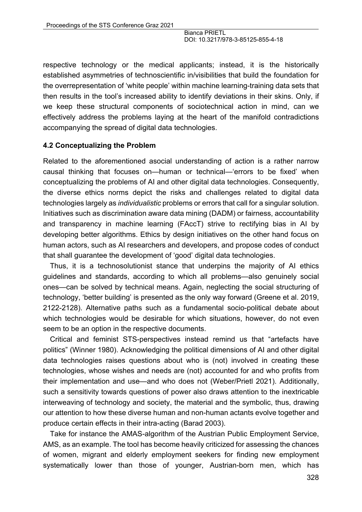respective technology or the medical applicants; instead, it is the historically established asymmetries of technoscientific in/visibilities that build the foundation for the overrepresentation of 'white people' within machine learning-training data sets that then results in the tool's increased ability to identify deviations in their skins. Only, if we keep these structural components of sociotechnical action in mind, can we effectively address the problems laying at the heart of the manifold contradictions accompanying the spread of digital data technologies.

#### **4.2 Conceptualizing the Problem**

Related to the aforementioned asocial understanding of action is a rather narrow causal thinking that focuses on—human or technical—'errors to be fixed' when conceptualizing the problems of AI and other digital data technologies. Consequently, the diverse ethics norms depict the risks and challenges related to digital data technologies largely as *individualistic* problems or errors that call for a singular solution. Initiatives such as discrimination aware data mining (DADM) or fairness, accountability and transparency in machine learning (FAccT) strive to rectifying bias in AI by developing better algorithms. Ethics by design initiatives on the other hand focus on human actors, such as AI researchers and developers, and propose codes of conduct that shall guarantee the development of 'good' digital data technologies.

Thus, it is a technosolutionist stance that underpins the majority of AI ethics guidelines and standards, according to which all problems—also genuinely social ones—can be solved by technical means. Again, neglecting the social structuring of technology, 'better building' is presented as the only way forward (Greene et al. 2019, 2122-2128). Alternative paths such as a fundamental socio-political debate about which technologies would be desirable for which situations, however, do not even seem to be an option in the respective documents.

Critical and feminist STS-perspectives instead remind us that "artefacts have politics" (Winner 1980). Acknowledging the political dimensions of AI and other digital data technologies raises questions about who is (not) involved in creating these technologies, whose wishes and needs are (not) accounted for and who profits from their implementation and use—and who does not (Weber/Prietl 2021). Additionally, such a sensitivity towards questions of power also draws attention to the inextricable interweaving of technology and society, the material and the symbolic, thus, drawing our attention to how these diverse human and non-human actants evolve together and produce certain effects in their intra-acting (Barad 2003).

Take for instance the AMAS-algorithm of the Austrian Public Employment Service, AMS, as an example. The tool has become heavily criticized for assessing the chances of women, migrant and elderly employment seekers for finding new employment systematically lower than those of younger, Austrian-born men, which has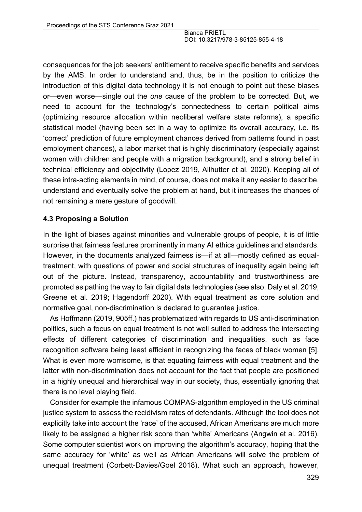consequences for the job seekers' entitlement to receive specific benefits and services by the AMS. In order to understand and, thus, be in the position to criticize the introduction of this digital data technology it is not enough to point out these biases or—even worse—single out the *one* cause of the problem to be corrected. But, we need to account for the technology's connectedness to certain political aims (optimizing resource allocation within neoliberal welfare state reforms), a specific statistical model (having been set in a way to optimize its overall accuracy, i.e. its 'correct' prediction of future employment chances derived from patterns found in past employment chances), a labor market that is highly discriminatory (especially against women with children and people with a migration background), and a strong belief in technical efficiency and objectivity (Lopez 2019, Allhutter et al. 2020). Keeping all of these intra-acting elements in mind, of course, does not make it any easier to describe, understand and eventually solve the problem at hand, but it increases the chances of not remaining a mere gesture of goodwill.

### **4.3 Proposing a Solution**

In the light of biases against minorities and vulnerable groups of people, it is of little surprise that fairness features prominently in many AI ethics guidelines and standards. However, in the documents analyzed fairness is—if at all—mostly defined as equaltreatment, with questions of power and social structures of inequality again being left out of the picture. Instead, transparency, accountability and trustworthiness are promoted as pathing the way to fair digital data technologies (see also: Daly et al. 2019; Greene et al. 2019; Hagendorff 2020). With equal treatment as core solution and normative goal, non-discrimination is declared to guarantee justice.

As Hoffmann (2019, 905ff.) has problematized with regards to US anti-discrimination politics, such a focus on equal treatment is not well suited to address the intersecting effects of different categories of discrimination and inequalities, such as face recognition software being least efficient in recognizing the faces of black women [5]. What is even more worrisome, is that equating fairness with equal treatment and the latter with non-discrimination does not account for the fact that people are positioned in a highly unequal and hierarchical way in our society, thus, essentially ignoring that there is no level playing field.

Consider for example the infamous COMPAS-algorithm employed in the US criminal justice system to assess the recidivism rates of defendants. Although the tool does not explicitly take into account the 'race' of the accused, African Americans are much more likely to be assigned a higher risk score than 'white' Americans (Angwin et al. 2016). Some computer scientist work on improving the algorithm's accuracy, hoping that the same accuracy for 'white' as well as African Americans will solve the problem of unequal treatment (Corbett-Davies/Goel 2018). What such an approach, however,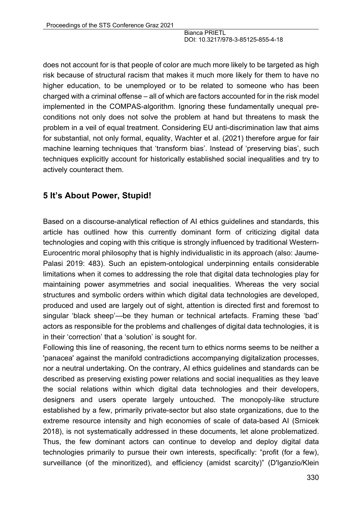does not account for is that people of color are much more likely to be targeted as high risk because of structural racism that makes it much more likely for them to have no higher education, to be unemployed or to be related to someone who has been charged with a criminal offense – all of which are factors accounted for in the risk model implemented in the COMPAS-algorithm. Ignoring these fundamentally unequal preconditions not only does not solve the problem at hand but threatens to mask the problem in a veil of equal treatment. Considering EU anti-discrimination law that aims for substantial, not only formal, equality, Wachter et al. (2021) therefore argue for fair machine learning techniques that 'transform bias'. Instead of 'preserving bias', such techniques explicitly account for historically established social inequalities and try to actively counteract them.

# **5 It's About Power, Stupid!**

Based on a discourse-analytical reflection of AI ethics guidelines and standards, this article has outlined how this currently dominant form of criticizing digital data technologies and coping with this critique is strongly influenced by traditional Western-Eurocentric moral philosophy that is highly individualistic in its approach (also: Jaume-Palasi 2019: 483). Such an epistem-ontological underpinning entails considerable limitations when it comes to addressing the role that digital data technologies play for maintaining power asymmetries and social inequalities. Whereas the very social structures and symbolic orders within which digital data technologies are developed, produced and used are largely out of sight, attention is directed first and foremost to singular 'black sheep'—be they human or technical artefacts. Framing these 'bad' actors as responsible for the problems and challenges of digital data technologies, it is in their 'correction' that a 'solution' is sought for.

Following this line of reasoning, the recent turn to ethics norms seems to be neither a 'panacea' against the manifold contradictions accompanying digitalization processes, nor a neutral undertaking. On the contrary, AI ethics guidelines and standards can be described as preserving existing power relations and social inequalities as they leave the social relations within which digital data technologies and their developers, designers and users operate largely untouched. The monopoly-like structure established by a few, primarily private-sector but also state organizations, due to the extreme resource intensity and high economies of scale of data-based AI (Srnicek 2018), is not systematically addressed in these documents, let alone problematized. Thus, the few dominant actors can continue to develop and deploy digital data technologies primarily to pursue their own interests, specifically: "profit (for a few), surveillance (of the minoritized), and efficiency (amidst scarcity)" (D'Iganzio/Klein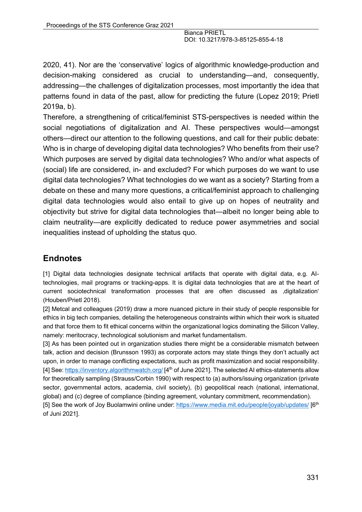2020, 41). Nor are the 'conservative' logics of algorithmic knowledge-production and decision-making considered as crucial to understanding—and, consequently, addressing—the challenges of digitalization processes, most importantly the idea that patterns found in data of the past, allow for predicting the future (Lopez 2019; Prietl 2019a, b).

Therefore, a strengthening of critical/feminist STS-perspectives is needed within the social negotiations of digitalization and AI. These perspectives would—amongst others—direct our attention to the following questions, and call for their public debate: Who is in charge of developing digital data technologies? Who benefits from their use? Which purposes are served by digital data technologies? Who and/or what aspects of (social) life are considered, in- and excluded? For which purposes do we want to use digital data technologies? What technologies do we want as a society? Starting from a debate on these and many more questions, a critical/feminist approach to challenging digital data technologies would also entail to give up on hopes of neutrality and objectivity but strive for digital data technologies that—albeit no longer being able to claim neutrality—are explicitly dedicated to reduce power asymmetries and social inequalities instead of upholding the status quo.

# **Endnotes**

[1] Digital data technologies designate technical artifacts that operate with digital data, e.g. AItechnologies, mail programs or tracking-apps. It is digital data technologies that are at the heart of current sociotechnical transformation processes that are often discussed as digitalization' (Houben/Prietl 2018).

[2] Metcal and colleagues (2019) draw a more nuanced picture in their study of people responsible for ethics in big tech companies, detailing the heterogeneous constraints within which their work is situated and that force them to fit ethical concerns within the organizational logics dominating the Silicon Valley, namely: meritocracy, technological solutionism and market fundamentalism.

[3] As has been pointed out in organization studies there might be a considerable mismatch between talk, action and decision (Brunsson 1993) as corporate actors may state things they don't actually act upon, in order to manage conflicting expectations, such as profit maximization and social responsibility. [4] See: https://inventory.algorithmwatch.org/ [4<sup>th</sup> of June 2021]. The selected AI ethics-statements allow for theoretically sampling (Strauss/Corbin 1990) with respect to (a) authors/issuing organization (private sector, governmental actors, academia, civil society), (b) geopolitical reach (national, international, global) and (c) degree of compliance (binding agreement, voluntary commitment, recommendation). [5] See the work of Joy Buolamwini online under: https://www.media.mit.edu/people/joyab/updates/ [6<sup>th</sup>]

of Juni 2021].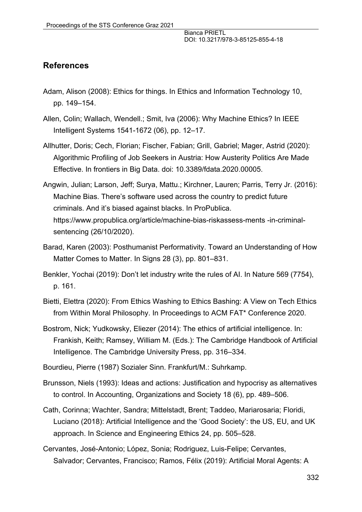# **References**

- Adam, Alison (2008): Ethics for things. In Ethics and Information Technology 10, pp. 149–154.
- Allen, Colin; Wallach, Wendell.; Smit, Iva (2006): Why Machine Ethics? In IEEE Intelligent Systems 1541-1672 (06), pp. 12–17.
- Allhutter, Doris; Cech, Florian; Fischer, Fabian; Grill, Gabriel; Mager, Astrid (2020): Algorithmic Profiling of Job Seekers in Austria: How Austerity Politics Are Made Effective. In frontiers in Big Data. doi: 10.3389/fdata.2020.00005.
- Angwin, Julian; Larson, Jeff; Surya, Mattu.; Kirchner, Lauren; Parris, Terry Jr. (2016): Machine Bias. There's software used across the country to predict future criminals. And it's biased against blacks. In ProPublica. https://www.propublica.org/article/machine-bias-riskassess-ments -in-criminalsentencing (26/10/2020).
- Barad, Karen (2003): Posthumanist Performativity. Toward an Understanding of How Matter Comes to Matter. In Signs 28 (3), pp. 801–831.
- Benkler, Yochai (2019): Don't let industry write the rules of AI. In Nature 569 (7754), p. 161.
- Bietti, Elettra (2020): From Ethics Washing to Ethics Bashing: A View on Tech Ethics from Within Moral Philosophy. In Proceedings to ACM FAT\* Conference 2020.
- Bostrom, Nick; Yudkowsky, Eliezer (2014): The ethics of artificial intelligence. In: Frankish, Keith; Ramsey, William M. (Eds.): The Cambridge Handbook of Artificial Intelligence. The Cambridge University Press, pp. 316–334.
- Bourdieu, Pierre (1987) Sozialer Sinn. Frankfurt/M.: Suhrkamp.
- Brunsson, Niels (1993): Ideas and actions: Justification and hypocrisy as alternatives to control. In Accounting, Organizations and Society 18 (6), pp. 489–506.
- Cath, Corinna; Wachter, Sandra; Mittelstadt, Brent; Taddeo, Mariarosaria; Floridi, Luciano (2018): Artificial Intelligence and the 'Good Society': the US, EU, and UK approach. In Science and Engineering Ethics 24, pp. 505–528.
- Cervantes, José-Antonio; López, Sonia; Rodriguez, Luis-Felipe; Cervantes, Salvador; Cervantes, Francisco; Ramos, Félix (2019): Artificial Moral Agents: A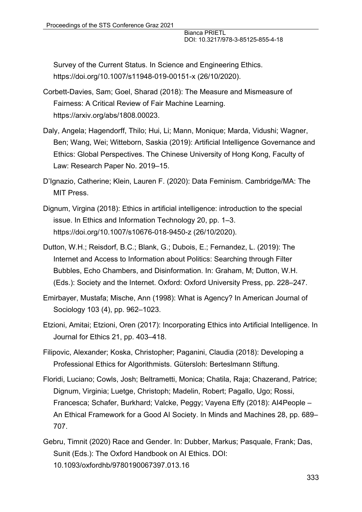Survey of the Current Status. In Science and Engineering Ethics. https://doi.org/10.1007/s11948-019-00151-x (26/10/2020).

- Corbett-Davies, Sam; Goel, Sharad (2018): The Measure and Mismeasure of Fairness: A Critical Review of Fair Machine Learning. https://arxiv.org/abs/1808.00023.
- Daly, Angela; Hagendorff, Thilo; Hui, Li; Mann, Monique; Marda, Vidushi; Wagner, Ben; Wang, Wei; Witteborn, Saskia (2019): Artificial Intelligence Governance and Ethics: Global Perspectives. The Chinese University of Hong Kong, Faculty of Law: Research Paper No. 2019–15.
- D'Ignazio, Catherine; Klein, Lauren F. (2020): Data Feminism. Cambridge/MA: The MIT Press.
- Dignum, Virgina (2018): Ethics in artificial intelligence: introduction to the special issue. In Ethics and Information Technology 20, pp. 1–3. https://doi.org/10.1007/s10676-018-9450-z (26/10/2020).
- Dutton, W.H.; Reisdorf, B.C.; Blank, G.; Dubois, E.; Fernandez, L. (2019): The Internet and Access to Information about Politics: Searching through Filter Bubbles, Echo Chambers, and Disinformation. In: Graham, M; Dutton, W.H. (Eds.): Society and the Internet. Oxford: Oxford University Press, pp. 228–247.
- Emirbayer, Mustafa; Mische, Ann (1998): What is Agency? In American Journal of Sociology 103 (4), pp. 962–1023.
- Etzioni, Amitai; Etzioni, Oren (2017): Incorporating Ethics into Artificial Intelligence. In Journal for Ethics 21, pp. 403–418.
- Filipovic, Alexander; Koska, Christopher; Paganini, Claudia (2018): Developing a Professional Ethics for Algorithmists. Gütersloh: Berteslmann Stiftung.
- Floridi, Luciano; Cowls, Josh; Beltrametti, Monica; Chatila, Raja; Chazerand, Patrice; Dignum, Virginia; Luetge, Christoph; Madelin, Robert; Pagallo, Ugo; Rossi, Francesca; Schafer, Burkhard; Valcke, Peggy; Vayena Effy (2018): AI4People – An Ethical Framework for a Good AI Society. In Minds and Machines 28, pp. 689– 707.
- Gebru, Timnit (2020) Race and Gender. In: Dubber, Markus; Pasquale, Frank; Das, Sunit (Eds.): The Oxford Handbook on AI Ethics. DOI: 10.1093/oxfordhb/9780190067397.013.16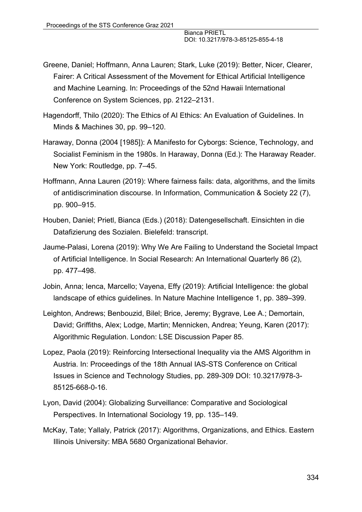- Greene, Daniel; Hoffmann, Anna Lauren; Stark, Luke (2019): Better, Nicer, Clearer, Fairer: A Critical Assessment of the Movement for Ethical Artificial Intelligence and Machine Learning. In: Proceedings of the 52nd Hawaii International Conference on System Sciences, pp. 2122–2131.
- Hagendorff, Thilo (2020): The Ethics of AI Ethics: An Evaluation of Guidelines. In Minds & Machines 30, pp. 99–120.
- Haraway, Donna (2004 [1985]): A Manifesto for Cyborgs: Science, Technology, and Socialist Feminism in the 1980s. In Haraway, Donna (Ed.): The Haraway Reader. New York: Routledge, pp. 7–45.
- Hoffmann, Anna Lauren (2019): Where fairness fails: data, algorithms, and the limits of antidiscrimination discourse. In Information, Communication & Society 22 (7), pp. 900–915.
- Houben, Daniel; Prietl, Bianca (Eds.) (2018): Datengesellschaft. Einsichten in die Datafizierung des Sozialen. Bielefeld: transcript.
- Jaume-Palasi, Lorena (2019): Why We Are Failing to Understand the Societal Impact of Artificial Intelligence. In Social Research: An International Quarterly 86 (2), pp. 477–498.
- Jobin, Anna; Ienca, Marcello; Vayena, Effy (2019): Artificial Intelligence: the global landscape of ethics guidelines. In Nature Machine Intelligence 1, pp. 389–399.
- Leighton, Andrews; Benbouzid, Bilel; Brice, Jeremy; Bygrave, Lee A.; Demortain, David; Griffiths, Alex; Lodge, Martin; Mennicken, Andrea; Yeung, Karen (2017): Algorithmic Regulation. London: LSE Discussion Paper 85.
- Lopez, Paola (2019): Reinforcing Intersectional Inequality via the AMS Algorithm in Austria. In: Proceedings of the 18th Annual IAS-STS Conference on Critical Issues in Science and Technology Studies, pp. 289-309 DOI: 10.3217/978-3- 85125-668-0-16.
- Lyon, David (2004): Globalizing Surveillance: Comparative and Sociological Perspectives. In International Sociology 19, pp. 135–149.
- McKay, Tate; Yallaly, Patrick (2017): Algorithms, Organizations, and Ethics. Eastern Illinois University: MBA 5680 Organizational Behavior.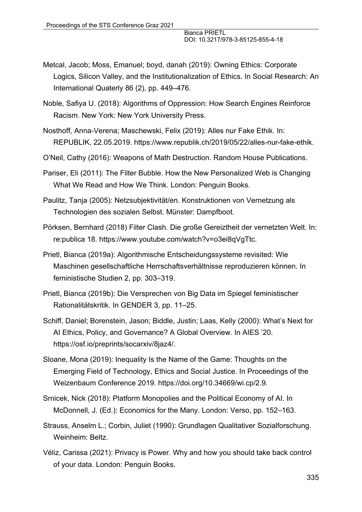- Metcal, Jacob; Moss, Emanuel; boyd, danah (2019): Owning Ethics: Corporate Logics, Silicon Valley, and the Institutionalization of Ethics. In Social Research: An International Quaterly 86 (2), pp. 449–476.
- Noble, Safiya U. (2018): Algorithms of Oppression: How Search Engines Reinforce Racism. New York: New York University Press.
- Nosthoff, Anna-Verena; Maschewski, Felix (2019): Alles nur Fake Ethik. In: REPUBLIK, 22.05.2019. https://www.republik.ch/2019/05/22/alles-nur-fake-ethik.
- O'Neil, Cathy (2016): Weapons of Math Destruction. Random House Publications.

Pariser, Eli (2011): The Filter Bubble. How the New Personalized Web is Changing What We Read and How We Think. London: Penguin Books.

Paulitz, Tanja (2005): Netzsubjektivität/en. Konstruktionen von Vernetzung als Technologien des sozialen Selbst. Münster: Dampfboot.

Pörksen, Bernhard (2018) Filter Clash. Die große Gereiztheit der vernetzten Welt. In: re:publica 18. https://www.youtube.com/watch?v=o3ei8qVgTtc.

- Prietl, Bianca (2019a): Algorithmische Entscheidungssysteme revisited: Wie Maschinen gesellschaftliche Herrschaftsverhältnisse reproduzieren können. In feministische Studien 2, pp. 303–319.
- Prietl, Bianca (2019b): Die Versprechen von Big Data im Spiegel feministischer Rationalitätskritik. In GENDER 3, pp. 11–25.
- Schiff, Daniel; Borenstein, Jason; Biddle, Justin; Laas, Kelly (2000): What's Next for AI Ethics, Policy, and Governance? A Global Overview. In AIES '20. https://osf.io/preprints/socarxiv/8jaz4/.
- Sloane, Mona (2019): Inequality Is the Name of the Game: Thoughts on the Emerging Field of Technology, Ethics and Social Justice. In Proceedings of the Weizenbaum Conference 2019. https://doi.org/10.34669/wi.cp/2.9.
- Srnicek, Nick (2018): Platform Monopolies and the Political Economy of AI. In McDonnell, J. (Ed.): Economics for the Many. London: Verso, pp. 152–163.
- Strauss, Anselm L.; Corbin, Juliet (1990): Grundlagen Qualitativer Sozialforschung. Weinheim: Beltz.
- Véliz, Carissa (2021): Privacy is Power. Why and how you should take back control of your data. London: Penguin Books.